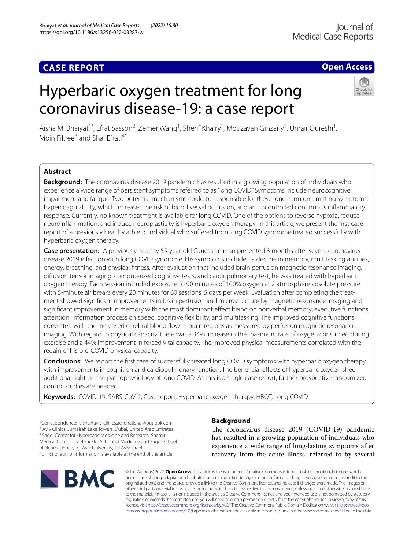Bhaiyat *et al. Journal of Medical Case Reports (2022) 16:80* 

https://doi.org/10.1186/s13256-022-03287-w

# **Open Access**

# Hyperbaric oxygen treatment for long coronavirus disease-19: a case report



Aisha M. Bhaiyat<sup>1\*</sup>, Efrat Sasson<sup>2</sup>, Zemer Wang<sup>1</sup>, Sherif Khairy<sup>1</sup>, Mouzayan Ginzarly<sup>1</sup>, Umair Qureshi<sup>1</sup>, Moin Fikree<sup>3</sup> and Shai Ffrati<sup>4\*</sup>

# **Abstract**

**Background:** The coronavirus disease 2019 pandemic has resulted in a growing population of individuals who experience a wide range of persistent symptoms referred to as "long COVID." Symptoms include neurocognitive impairment and fatigue. Two potential mechanisms could be responsible for these long-term unremitting symptoms: hypercoagulability, which increases the risk of blood vessel occlusion, and an uncontrolled continuous infammatory response. Currently, no known treatment is available for long COVID. One of the options to reverse hypoxia, reduce neuroinfammation, and induce neuroplasticity is hyperbaric oxygen therapy. In this article, we present the frst case report of a previously healthy athletic individual who sufered from long COVID syndrome treated successfully with hyperbaric oxygen therapy.

**Case presentation:** A previously healthy 55-year-old Caucasian man presented 3 months after severe coronavirus disease 2019 infection with long COVID syndrome. His symptoms included a decline in memory, multitasking abilities, energy, breathing, and physical ftness. After evaluation that included brain perfusion magnetic resonance imaging, difusion tensor imaging, computerized cognitive tests, and cardiopulmonary test, he was treated with hyperbaric oxygen therapy. Each session included exposure to 90 minutes of 100% oxygen at 2 atmosphere absolute pressure with 5-minute air breaks every 20 minutes for 60 sessions, 5 days per week. Evaluation after completing the treatment showed signifcant improvements in brain perfusion and microstructure by magnetic resonance imaging and significant improvement in memory with the most dominant effect being on nonverbal memory, executive functions, attention, information procession speed, cognitive fexibility, and multitasking. The improved cognitive functions correlated with the increased cerebral blood fow in brain regions as measured by perfusion magnetic resonance imaging. With regard to physical capacity, there was a 34% increase in the maximum rate of oxygen consumed during exercise and a 44% improvement in forced vital capacity. The improved physical measurements correlated with the regain of his pre-COVID physical capacity.

**Conclusions:** We report the frst case of successfully treated long COVID symptoms with hyperbaric oxygen therapy with improvements in cognition and cardiopulmonary function. The benefcial efects of hyperbaric oxygen shed additional light on the pathophysiology of long COVID. As this is a single case report, further prospective randomized control studies are needed.

**Keywords:** COVID-19, SARS-CoV-2, Case report, Hyperbaric oxygen therapy, HBOT, Long COVID

\*Correspondence: aisha@aviv-clinics.ae; efratishai@outlook.com 1 Aviv Clinics, Jumeirah Lake Towers, Dubai, United Arab Emirates <sup>4</sup> Sagol Center for Hyperbaric Medicine and Research, Shamir Medical Center, Israel Sackler School of Medicine and Sagol School of Neuroscience, Tel-Aviv University, Tel Aviv, Israel Full list of author information is available at the end of the article

# **BMC**

# **Background**

The coronavirus disease 2019 (COVID-19) pandemic has resulted in a growing population of individuals who experience a wide range of long-lasting symptoms after recovery from the acute illness, referred to by several

© The Author(s) 2022. **Open Access** This article is licensed under a Creative Commons Attribution 4.0 International License, which permits use, sharing, adaptation, distribution and reproduction in any medium or format, as long as you give appropriate credit to the original author(s) and the source, provide a link to the Creative Commons licence, and indicate if changes were made. The images or other third party material in this article are included in the article's Creative Commons licence, unless indicated otherwise in a credit line to the material. If material is not included in the article's Creative Commons licence and your intended use is not permitted by statutory regulation or exceeds the permitted use, you will need to obtain permission directly from the copyright holder. To view a copy of this licence, visit [http://creativecommons.org/licenses/by/4.0/.](http://creativecommons.org/licenses/by/4.0/) The Creative Commons Public Domain Dedication waiver ([http://creativeco](http://creativecommons.org/publicdomain/zero/1.0/) [mmons.org/publicdomain/zero/1.0/](http://creativecommons.org/publicdomain/zero/1.0/)) applies to the data made available in this article, unless otherwise stated in a credit line to the data.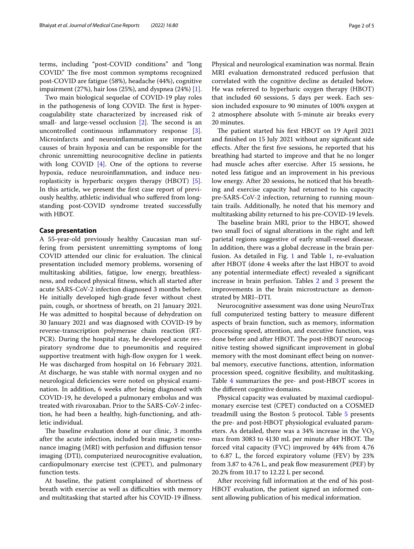terms, including "post-COVID conditions" and "long COVID." The five most common symptoms recognized post-COVID are fatigue (58%), headache (44%), cognitive impairment (27%), hair loss (25%), and dyspnea (24%) [\[1](#page-4-0)].

Two main biological sequelae of COVID-19 play roles in the pathogenesis of long COVID. The first is hypercoagulability state characterized by increased risk of small- and large-vessel occlusion  $[2]$  $[2]$ . The second is an uncontrolled continuous infammatory response [\[3](#page-4-2)]. Microinfarcts and neuroinfammation are important causes of brain hypoxia and can be responsible for the chronic unremitting neurocognitive decline in patients with long COVID  $[4]$  $[4]$ . One of the options to reverse hypoxia, reduce neuroinfammation, and induce neuroplasticity is hyperbaric oxygen therapy (HBOT) [\[5](#page-4-4)]. In this article, we present the frst case report of previously healthy, athletic individual who sufered from longstanding post-COVID syndrome treated successfully with HBOT.

#### **Case presentation**

A 55-year-old previously healthy Caucasian man suffering from persistent unremitting symptoms of long COVID attended our clinic for evaluation. The clinical presentation included memory problems, worsening of multitasking abilities, fatigue, low energy, breathlessness, and reduced physical ftness, which all started after acute SARS-CoV-2 infection diagnosed 3 months before. He initially developed high-grade fever without chest pain, cough, or shortness of breath, on 21 January 2021. He was admitted to hospital because of dehydration on 30 January 2021 and was diagnosed with COVID-19 by reverse-transcription polymerase chain reaction (RT-PCR). During the hospital stay, he developed acute respiratory syndrome due to pneumonitis and required supportive treatment with high-flow oxygen for 1 week. He was discharged from hospital on 16 February 2021. At discharge, he was stable with normal oxygen and no neurological defciencies were noted on physical examination. In addition, 6 weeks after being diagnosed with COVID-19, he developed a pulmonary embolus and was treated with rivaroxaban. Prior to the SARS-CoV-2 infection, he had been a healthy, high-functioning, and athletic individual.

The baseline evaluation done at our clinic, 3 months after the acute infection, included brain magnetic resonance imaging (MRI) with perfusion and difusion tensor imaging (DTI), computerized neurocognitive evaluation, cardiopulmonary exercise test (CPET), and pulmonary function tests.

At baseline, the patient complained of shortness of breath with exercise as well as difficulties with memory and multitasking that started after his COVID-19 illness.

Physical and neurological examination was normal. Brain MRI evaluation demonstrated reduced perfusion that correlated with the cognitive decline as detailed below. He was referred to hyperbaric oxygen therapy (HBOT) that included 60 sessions, 5 days per week. Each session included exposure to 90 minutes of 100% oxygen at 2 atmosphere absolute with 5-minute air breaks every 20 minutes.

The patient started his first HBOT on 19 April 2021 and fnished on 15 July 2021 without any signifcant side efects. After the frst fve sessions, he reported that his breathing had started to improve and that he no longer had muscle aches after exercise. After 15 sessions, he noted less fatigue and an improvement in his previous low energy. After 20 sessions, he noticed that his breathing and exercise capacity had returned to his capacity pre-SARS-CoV-2 infection, returning to running mountain trails. Additionally, he noted that his memory and multitasking ability returned to his pre-COVID-19 levels.

The baseline brain MRI, prior to the HBOT, showed two small foci of signal alterations in the right and left parietal regions suggestive of early small-vessel disease. In addition, there was a global decrease in the brain perfusion. As detailed in Fig. [1](#page-2-0) and Table [1](#page-2-1), re-evaluation after HBOT (done 4 weeks after the last HBOT to avoid any potential intermediate efect) revealed a signifcant increase in brain perfusion. Tables [2](#page-2-2) and [3](#page-2-3) present the improvements in the brain microstructure as demonstrated by MRI–DTI.

Neurocognitive assessment was done using NeuroTrax full computerized testing battery to measure diferent aspects of brain function, such as memory, information processing speed, attention, and executive function, was done before and after HBOT. The post-HBOT neurocognitive testing showed signifcant improvement in global memory with the most dominant efect being on nonverbal memory, executive functions, attention, information procession speed, cognitive fexibility, and multitasking. Table [4](#page-2-4) summarizes the pre- and post-HBOT scores in the diferent cognitive domains.

Physical capacity was evaluated by maximal cardiopulmonary exercise test (CPET) conducted on a COSMED treadmill using the Boston [5](#page-3-0) protocol. Table 5 presents the pre- and post-HBOT physiological evaluated parameters. As detailed, there was a 34% increase in the  $VO<sub>2</sub>$ max from 3083 to 4130 mL per minute after HBOT. The forced vital capacity (FVC) improved by 44% from 4.76 to 6.87 L, the forced expiratory volume (FEV) by 23% from 3.87 to 4.76 L, and peak flow measurement (PEF) by 20.2% from 10.17 to 12.22 L per second.

After receiving full information at the end of his post-HBOT evaluation, the patient signed an informed consent allowing publication of his medical information.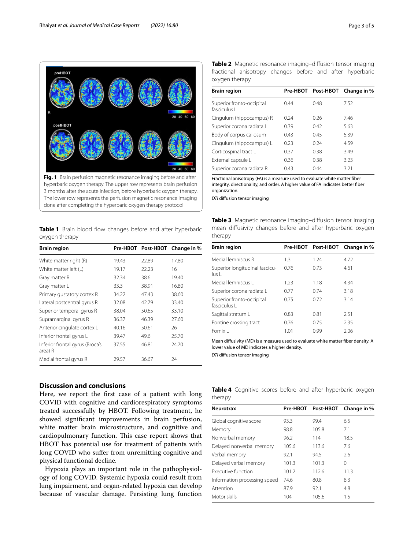<span id="page-2-1"></span><span id="page-2-0"></span>**Table 1** Brain blood flow changes before and after hyperbaric oxygen therapy

| <b>Brain region</b>                        |       |       | Pre-HBOT Post-HBOT Change in % |
|--------------------------------------------|-------|-------|--------------------------------|
| White matter right (R)                     | 19.43 | 22.89 | 17.80                          |
| White matter left (L)                      | 19.17 | 22.23 | 16                             |
| Gray matter R                              | 32.34 | 38.6  | 19.40                          |
| Gray matter L                              | 33.3  | 38.91 | 16.80                          |
| Primary gustatory cortex R                 | 34.22 | 47.43 | 38.60                          |
| Lateral postcentral gyrus R                | 32.08 | 42.79 | 33.40                          |
| Superior temporal gyrus R                  | 38.04 | 50.65 | 33.10                          |
| Supramarginal gyrus R                      | 36.37 | 46.39 | 27.60                          |
| Anterior cingulate cortex L                | 40.16 | 50.61 | 26                             |
| Inferior frontal gyrus L                   | 39.47 | 49.6  | 25.70                          |
| Inferior frontal gyrus (Broca's<br>area) R | 37.55 | 46.81 | 24.70                          |
| Medial frontal gyrus R                     | 29.57 | 36.67 | 24                             |

#### **Discussion and conclusions**

Here, we report the frst case of a patient with long COVID with cognitive and cardiorespiratory symptoms treated successfully by HBOT. Following treatment, he showed signifcant improvements in brain perfusion, white matter brain microstructure, and cognitive and cardiopulmonary function. This case report shows that HBOT has potential use for treatment of patients with long COVID who sufer from unremitting cognitive and physical functional decline.

Hypoxia plays an important role in the pathophysiology of long COVID. Systemic hypoxia could result from lung impairment, and organ-related hypoxia can develop because of vascular damage. Persisting lung function <span id="page-2-2"></span>**Table 2** Magnetic resonance imaging–difusion tensor imaging fractional anisotropy changes before and after hyperbaric oxygen therapy

| <b>Brain region</b>                       |      | Pre-HBOT Post-HBOT | Change in % |
|-------------------------------------------|------|--------------------|-------------|
| Superior fronto-occipital<br>fasciculus L | 0.44 | 0.48               | 7.52        |
| Cingulum (hippocampus) R                  | 0.24 | 0.26               | 7.46        |
| Superior corona radiata L                 | 0.39 | 0.42               | 5.63        |
| Body of corpus callosum                   | 0.43 | 0.45               | 5.39        |
| Cingulum (hippocampus) L                  | 0.23 | 0.24               | 4.59        |
| Corticospinal tract L                     | 0.37 | 0.38               | 3.49        |
| External capsule L                        | 0.36 | 0.38               | 3.23        |
| Superior corona radiata R                 | 0.43 | 044                | 3.21        |
|                                           |      |                    |             |

Fractional anisotropy (FA) is a measure used to evaluate white matter fber integrity, directionality, and order. A higher value of FA indicates better fber organization.

*DTI* difusion tensor imaging

<span id="page-2-3"></span>

|         |  |  | <b>Table 3</b> Magnetic resonance imaging-diffusion tensor imaging |  |
|---------|--|--|--------------------------------------------------------------------|--|
|         |  |  | mean diffusivity changes before and after hyperbaric oxygen        |  |
| therapy |  |  |                                                                    |  |

| <b>Brain region</b>                       |      |      | Pre-HBOT Post-HBOT Change in % |
|-------------------------------------------|------|------|--------------------------------|
| Medial lemniscus R                        | 1.3  | 1.24 | 4.72                           |
| Superior longitudinal fascicu-<br>lus L   | 0.76 | 0.73 | 4.61                           |
| Medial lemniscus L                        | 1.23 | 1.18 | 4.34                           |
| Superior corona radiata L                 | 0.77 | 0.74 | 3.18                           |
| Superior fronto-occipital<br>fasciculus L | 0.75 | 0.72 | 3.14                           |
| Sagittal stratum L                        | 0.83 | 0.81 | 2.51                           |
| Pontine crossing tract                    | 0.76 | 0.75 | 2.35                           |
| Fornix I                                  | 1.01 | 0.99 | 2.06                           |

Mean difusivity (MD) is a measure used to evaluate white matter fber density. A lower value of MD indicates a higher density.

*DTI* difusion tensor imaging

<span id="page-2-4"></span>

|         |  |  | Table 4 Cognitive scores before and after hyperbaric oxygen |  |
|---------|--|--|-------------------------------------------------------------|--|
| therapy |  |  |                                                             |  |

| <b>Neurotrax</b>             |       | Pre-HBOT Post-HBOT | Change in % |
|------------------------------|-------|--------------------|-------------|
| Global cognitive score       | 93.3  | 99.4               | 6.5         |
| Memory                       | 98.8  | 105.8              | 7.1         |
| Nonverbal memory             | 96.2  | 114                | 18.5        |
| Delayed nonverbal memory     | 105.6 | 113.6              | 7.6         |
| Verbal memory                | 92.1  | 94.5               | 2.6         |
| Delayed verbal memory        | 101.3 | 101.3              | 0           |
| Executive function           | 101.2 | 112.6              | 11.3        |
| Information processing speed | 74.6  | 80.8               | 8.3         |
| Attention                    | 87.9  | 92.1               | 4.8         |
| Motor skills                 | 104   | 105.6              | 1.5         |
|                              |       |                    |             |

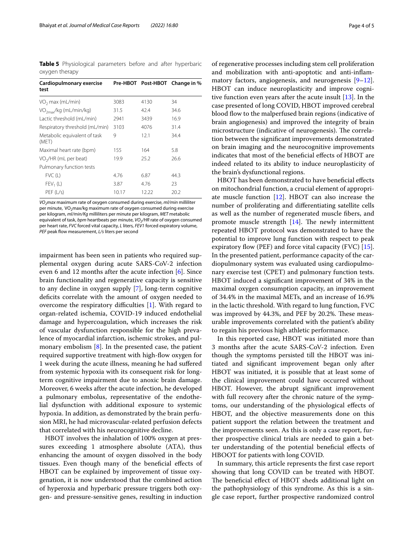<span id="page-3-0"></span>**Table 5** Physiological parameters before and after hyperbaric oxygen therapy

| Cardiopulmonary exercise<br>test      |       |       | Pre-HBOT Post-HBOT Change in % |
|---------------------------------------|-------|-------|--------------------------------|
| VO <sub>2</sub> max (mL/min)          | 3083  | 4130  | 34                             |
| VO <sub>2max</sub> /kg (mL/min/kg)    | 31.5  | 42.4  | 34.6                           |
| Lactic threshold (mL/min)             | 2941  | 3439  | 16.9                           |
| Respiratory threshold (mL/min)        | 3103  | 4076  | 31.4                           |
| Metabolic equivalent of task<br>(MET) | 9     | 12.1  | 34.4                           |
| Maximal heart rate (bpm)              | 155   | 164   | 5.8                            |
| VO <sub>2</sub> /HR (mL per beat)     | 19.9  | 25.2  | 26.6                           |
| Pulmonary function tests              |       |       |                                |
| FVC(L)                                | 4.76  | 6.87  | 44.3                           |
| $FEV1$ (L)                            | 3.87  | 4.76  | 23                             |
| PEF (L/s)                             | 10.17 | 12.22 | 20.2                           |
|                                       |       |       |                                |

*VO2max* maximum rate of oxygen consumed during exercise, *ml/min* milliliter per minute, VO<sub>2</sub>max/kg maximum rate of oxygen consumed during exercise per kilogram, *ml/min/Kg* milliliters per minute per kilogram, *MET* metabolic equivalent of task, *bpm* heartbeats per minute, *VO<sub>2</sub>*/HR rate of oxygen consumed per heart rate, *FVC* forced vital capacity, *L* liters, *FEV1* forced expiratory volume, PEF peak flow measurement, L/s liters per second

impairment has been seen in patients who required supplemental oxygen during acute SARS-CoV-2 infection even 6 and 12 months after the acute infection [[6](#page-4-5)]. Since brain functionality and regenerative capacity is sensitive to any decline in oxygen supply [\[7\]](#page-4-6), long-term cognitive deficits correlate with the amount of oxygen needed to overcome the respiratory difficulties  $[1]$  $[1]$ . With regard to organ-related ischemia, COVID-19 induced endothelial damage and hypercoagulation, which increases the risk of vascular dysfunction responsible for the high prevalence of myocardial infarction, ischemic strokes, and pulmonary embolism [\[8](#page-4-7)]. In the presented case, the patient required supportive treatment with high-flow oxygen for 1 week during the acute illness, meaning he had sufered from systemic hypoxia with its consequent risk for longterm cognitive impairment due to anoxic brain damage. Moreover, 6 weeks after the acute infection, he developed a pulmonary embolus, representative of the endothelial dysfunction with additional exposure to systemic hypoxia. In addition, as demonstrated by the brain perfusion MRI, he had microvascular-related perfusion defects that correlated with his neurocognitive decline.

HBOT involves the inhalation of 100% oxygen at pressures exceeding 1 atmosphere absolute (ATA), thus enhancing the amount of oxygen dissolved in the body tissues. Even though many of the benefcial efects of HBOT can be explained by improvement of tissue oxygenation, it is now understood that the combined action of hyperoxia and hyperbaric pressure triggers both oxygen- and pressure-sensitive genes, resulting in induction

of regenerative processes including stem cell proliferation and mobilization with anti-apoptotic and anti-infammatory factors, angiogenesis, and neurogenesis [\[9](#page-4-8)[–12](#page-4-9)]. HBOT can induce neuroplasticity and improve cognitive function even years after the acute insult [\[13](#page-4-10)]. In the case presented of long COVID, HBOT improved cerebral blood flow to the malperfused brain regions (indicative of brain angiogenesis) and improved the integrity of brain microstructure (indicative of neurogenesis). The correlation between the signifcant improvements demonstrated on brain imaging and the neurocognitive improvements indicates that most of the benefcial efects of HBOT are indeed related to its ability to induce neuroplasticity of the brain's dysfunctional regions.

HBOT has been demonstrated to have beneficial effects on mitochondrial function, a crucial element of appropriate muscle function [[12](#page-4-9)]. HBOT can also increase the number of proliferating and diferentiating satellite cells as well as the number of regenerated muscle fbers, and promote muscle strength  $[14]$  $[14]$ . The newly intermittent repeated HBOT protocol was demonstrated to have the potential to improve lung function with respect to peak expiratory flow (PEF) and force vital capacity (FVC)  $[15]$  $[15]$ . In the presented patient, performance capacity of the cardiopulmonary system was evaluated using cardiopulmonary exercise test (CPET) and pulmonary function tests. HBOT induced a signifcant improvement of 34% in the maximal oxygen consumption capacity, an improvement of 34.4% in the maximal METs, and an increase of 16.9% in the lactic threshold. With regard to lung function, FVC was improved by 44.3%, and PEF by 20.2%. These measurable improvements correlated with the patient's ability to regain his previous high athletic performance.

In this reported case, HBOT was initiated more than 3 months after the acute SARS-CoV-2 infection. Even though the symptoms persisted till the HBOT was initiated and signifcant improvement began only after HBOT was initiated, it is possible that at least some of the clinical improvement could have occurred without HBOT. However, the abrupt signifcant improvement with full recovery after the chronic nature of the symptoms, our understanding of the physiological efects of HBOT, and the objective measurements done on this patient support the relation between the treatment and the improvements seen. As this is only a case report, further prospective clinical trials are needed to gain a better understanding of the potential benefcial efects of HBOOT for patients with long COVID.

In summary, this article represents the frst case report showing that long COVID can be treated with HBOT. The beneficial effect of HBOT sheds additional light on the pathophysiology of this syndrome. As this is a single case report, further prospective randomized control